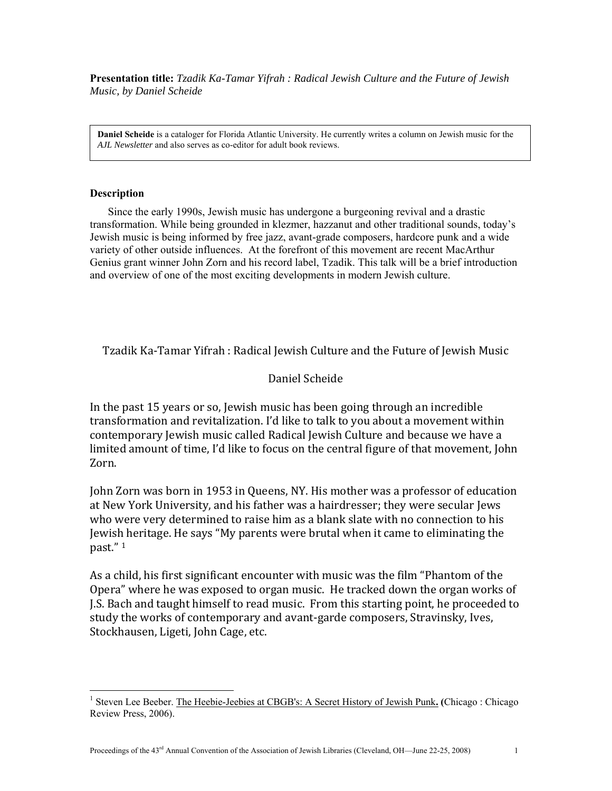**Presentation title:** *Tzadik Ka-Tamar Yifrah : Radical Jewish Culture and the Future of Jewish Music, by Daniel Scheide*

**Daniel Scheide** is a cataloger for Florida Atlantic University. He currently writes a column on Jewish music for the *AJL Newsletter* and also serves as co-editor for adult book reviews.

## **Description**

 $\overline{a}$ 

 Since the early 1990s, Jewish music has undergone a burgeoning revival and a drastic transformation. While being grounded in klezmer, hazzanut and other traditional sounds, today's Jewish music is being informed by free jazz, avant-grade composers, hardcore punk and a wide variety of other outside influences. At the forefront of this movement are recent MacArthur Genius grant winner John Zorn and his record label, Tzadik. This talk will be a brief introduction and overview of one of the most exciting developments in modern Jewish culture.

Tzadik Ka‐Tamar Yifrah : Radical Jewish Culture and the Future of Jewish Music

## Daniel Scheide

In the past 15 years or so, Jewish music has been going through an incredible transformation and revitalization. I'd like to talk to you about a movement within contemporary Jewish music called Radical Jewish Culture and because we have a limited amount of time, I'd like to focus on the central figure of that movement, John Zorn.

John Zorn was born in 1953 in Queens, NY. His mother was a professor of education at New York University, and his father was a hairdresser; they were secular Jews who were very determined to raise him as a blank slate with no connection to his Jewish heritage. He says "My parents were brutal when it came to eliminating the past." 1

As a child, his first significant encounter with music was the film "Phantom of the Opera" where he was exposed to organ music. He tracked down the organ works of J.S. Bach and taught himself to read music. From this starting point, he proceeded to study the works of contemporary and avant-garde composers, Stravinsky, Ives, Stockhausen, Ligeti, John Cage, etc.

<sup>&</sup>lt;sup>1</sup> Steven Lee Beeber. The Heebie-Jeebies at CBGB's: A Secret History of Jewish Punk. (Chicago: Chicago Review Press, 2006).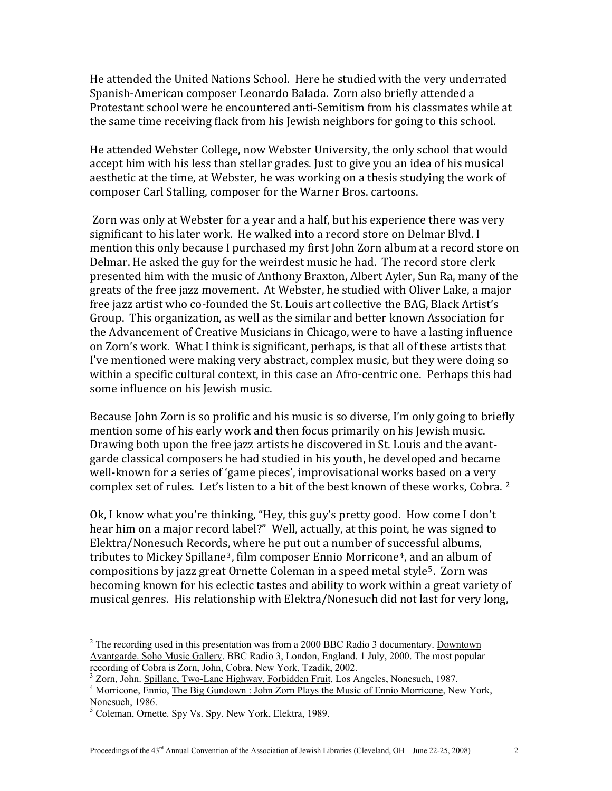He attended the United Nations School. Here he studied with the very underrated Spanish‐American composer Leonardo Balada. Zorn also briefly attended a Protestant school were he encountered anti‐Semitism from his classmates while at the same time receiving flack from his Jewish neighbors for going to this school.

He attended Webster College, now Webster University, the only school that would accept him with his less than stellar grades. Just to give you an idea of his musical aesthetic at the time, at Webster, he was working on a thesis studying the work of composer Carl Stalling, composer for the Warner Bros. cartoons.

 Zorn was only at Webster for a year and a half, but his experience there was very significant to his later work. He walked into a record store on Delmar Blvd. I mention this only because I purchased my first John Zorn album at a record store on Delmar. He asked the guy for the weirdest music he had. The record store clerk presented him with the music of Anthony Braxton, Albert Ayler, Sun Ra, many of the greats of the free jazz movement. At Webster, he studied with Oliver Lake, a major free jazz artist who co-founded the St. Louis art collective the BAG, Black Artist's Group. This organization, as well as the similar and better known Association for the Advancement of Creative Musicians in Chicago, were to have a lasting influence on Zorn's work. What I think is significant, perhaps, is that all of these artists that I've mentioned were making very abstract, complex music, but they were doing so within a specific cultural context, in this case an Afro-centric one. Perhaps this had some influence on his Jewish music.

Because John Zorn is so prolific and his music is so diverse, I'm only going to briefly mention some of his early work and then focus primarily on his Jewish music. Drawing both upon the free jazz artists he discovered in St. Louis and the avant‐ garde classical composers he had studied in his youth, he developed and became well-known for a series of 'game pieces', improvisational works based on a very complex set of rules. Let's listen to a bit of the best known of these works, Cobra. <sup>[2](#page-1-0)</sup>

Ok, I know what you're thinking, "Hey, this guy's pretty good. How come I don't hear him on a major record label?" Well, actually, at this point, he was signed to Elektra/Nonesuch Record[s,](#page-1-1) where he put out a number of su[c](#page-1-2)cessful albums, tributes to Mickey Spillane<sup>3</sup>, film composer Ennio Morricone<sup>4</sup>, and an album of compositions by jazz great Ornette Coleman in a speed metal style[5](#page-1-3). Zorn was becoming known for his eclectic tastes and ability to work within a great variety of musical genres. His relationship with Elektra/Nonesuch did not last for very long,

<span id="page-1-0"></span> $2^2$  The recording used in this presentation was from a 2000 BBC Radio 3 documentary. Downtown Avantgarde. Soho Music Gallery. BBC Radio 3, London, England. 1 July, 2000. The most popular recording of Cobra is Zorn, John, Cobra, New York, Tzadik, 2002. 3

<span id="page-1-1"></span><sup>&</sup>lt;sup>3</sup> Zorn, John. Spillane, Two-Lane Highway, Forbidden Fruit, Los Angeles, Nonesuch, 1987.

<span id="page-1-2"></span><sup>&</sup>lt;sup>4</sup> Morricone, Ennio, The Big Gundown : John Zorn Plays the Music of Ennio Morricone, New York, Nonesuch, 1986.

<span id="page-1-3"></span><sup>&</sup>lt;sup>5</sup> Coleman, Ornette. Spy Vs. Spy. New York, Elektra, 1989.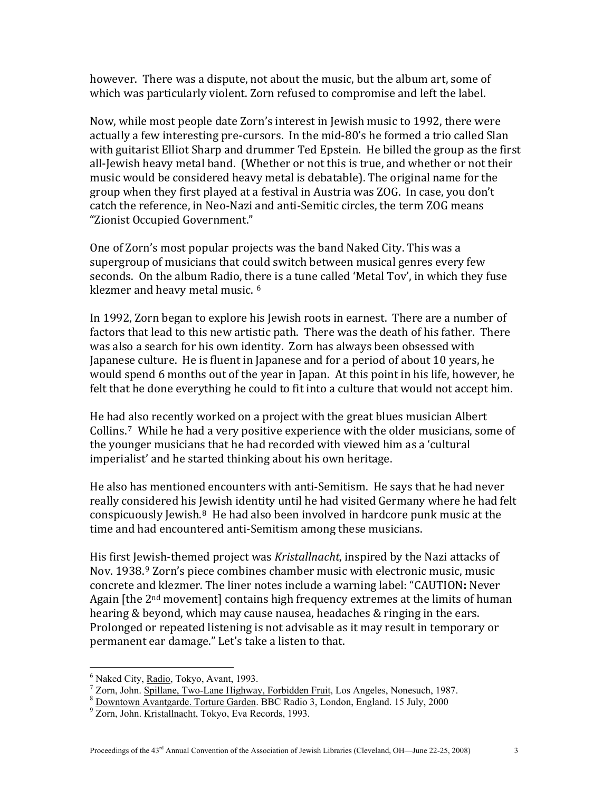however. There was a dispute, not about the music, but the album art, some of which was particularly violent. Zorn refused to compromise and left the label.

Now, while most people date Zorn's interest in Jewish music to 1992, there were actually a few interesting pre‐cursors. In the mid‐80's he formed a trio called Slan with guitarist Elliot Sharp and drummer Ted Epstein. He billed the group as the first all-Jewish heavy metal band. (Whether or not this is true, and whether or not their music would be considered heavy metal is debatable). The original name for the group when they first played at a festival in Austria was ZOG. In case, you don't catch the reference, in Neo‐Nazi and anti‐Semitic circles, the term ZOG means "Zionist Occupied Government."

One of Zorn's most popular projects was the band Naked City. This was a supergroup of musicians that could switch between musical genres every few seconds. On the album Radio, there is a tune called 'Metal Tov', in which they fuse klezmer and heavy metal music. 6

In 1992, Zorn began to explore his Jewish roots in earnest. There are a number of factors that lead to this new artistic path. There was the death of his father. There was also a search for his own identity. Zorn has always been obsessed with Japanese culture. He is fluent in Japanese and for a period of about 10 years, he would spend 6 months out of the year in Japan. At this point in his life, however, he felt that he done everything he could to fit into a culture that would not accept him.

He had [a](#page-2-0)lso recently worked on a project with the great blues musician Albert Collins.7 While he had a very positive experience with the older musicians, some of the younger musicians that he had recorded with viewed him as a 'cultural imperialist' and he started thinking about his own heritage.

He also has mentioned encounters with anti‐Semitism. He says that he had never really considered his [Je](#page-2-1)wish identity until he had visited Germany where he had felt conspicuously Jewish. $8$  He had also been involved in hardcore punk music at the time and had encountered anti‐Semitism among these musicians.

His first Jewish‐themed project was *Kristallnacht*, inspired by the Nazi attacks of Nov. 1938.[9](#page-2-2) Zorn's piece combines chamber music with electronic music, music concrete and klezmer. The liner notes include a warning label: "CAUTION**:** Never Again [the 2<sup>nd</sup> movement] contains high frequency extremes at the limits of human hearing & beyond, which may cause nausea, headaches & ringing in the ears. Prolonged or repeated listening is not advisable as it may result in temporary or permanent ear damage." Let's take a listen to that.

<sup>&</sup>lt;sup>6</sup> Naked City, Radio, Tokyo, Avant, 1993. <sup>6</sup> Naked City, <u>Radio</u>, Tokyo, Avant, 1993.<br><sup>7</sup> Zern, John, Spillano, Two Lane Highway

<span id="page-2-0"></span>zorn, John. <u>Spillane, Two-Lane Highway, Forbidden Fruit</u>, Los Angeles, Nonesuch, 1987.<br><sup>8</sup> Dountour Aventorde, Terture Garden, BBC Bedie 3, London, England, 15 July 2000.

<span id="page-2-1"></span><sup>&</sup>lt;sup>8</sup> Downtown Avantgarde. Torture Garden. BBC Radio 3, London, England. 15 July, 2000

<span id="page-2-2"></span><sup>&</sup>lt;sup>9</sup> Zorn, John. Kristallnacht, Tokyo, Eva Records, 1993.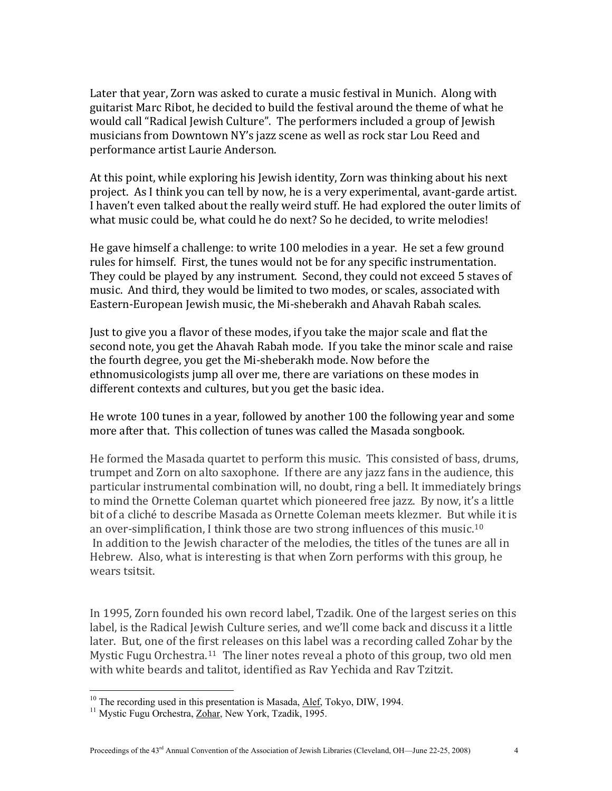Later that year, Zorn was asked to curate a music festival in Munich. Along with guitarist Marc Ribot, he decided to build the festival around the theme of what he would call "Radical Jewish Culture". The performers included a group of Jewish musicians from Downtown NY's jazz scene as well as rock star Lou Reed and performance artist Laurie Anderson.

At this point, while exploring his Jewish identity, Zorn was thinking about his next project. As I think you can tell by now, he is a very experimental, avant‐garde artist. I haven't even talked about the really weird stuff. He had explored the outer limits of what music could be, what could he do next? So he decided, to write melodies!

He gave himself a challenge: to write 100 melodies in a year. He set a few ground rules for himself. First, the tunes would not be for any specific instrumentation. They could be played by any instrument. Second, they could not exceed 5 staves of music. And third, they would be limited to two modes, or scales, associated with Eastern‐European Jewish music, the Mi‐sheberakh and Ahavah Rabah scales.

Just to give you a flavor of these modes, if you take the major scale and flat the second note, you get the Ahavah Rabah mode. If you take the minor scale and raise the fourth degree, you get the Mi‐sheberakh mode. Now before the ethnomusicologists jump all over me, there are variations on these modes in different contexts and cultures, but you get the basic idea.

He wrote 100 tunes in a year, followed by another 100 the following year and some more after that. This collection of tunes was called the Masada songbook.

He formed the Masada quartet to perform this music. This consisted of bass, drums, trumpet and Zorn on alto saxophone. If there are any jazz fans in the audience, this particular instrumental combination will, no doubt, ring a bell. It immediately brings to mind the Ornette Coleman quartet which pioneered free jazz. By now, it's a little bit of a cliché to describe Masada as Ornette Coleman meets klezmer. But while it is an over-simplification, I think those are two strong influences of this music.<sup>10</sup> In addition to the Jewish character of the melodies, the titles of the tunes are all in Hebrew. Also, what is interesting is that when Zorn performs with this group, he wears tsitsit.

In 1995, Zorn founded his own record label, Tzadik. One of the largest series on this label, is the Radical Jewish Culture series, and we'll come back and discuss it a little later. But, one of the first releases on this label was a recording called Zohar by the Mystic Fugu Orchestra.<sup>[11](#page-3-0)</sup> The liner notes reveal a photo of this group, two old men with white beards and talitot, identified as Rav Yechida and Rav Tzitzit.

<span id="page-3-0"></span><sup>&</sup>lt;sup>10</sup> The recording used in this presentation is Masada,  $\underline{\text{Alef}}$ , Tokyo, DIW, 1994.<br><sup>11</sup> Mystic Fugu Orchestra, <u>Zohar</u>, New York, Tzadik, 1995.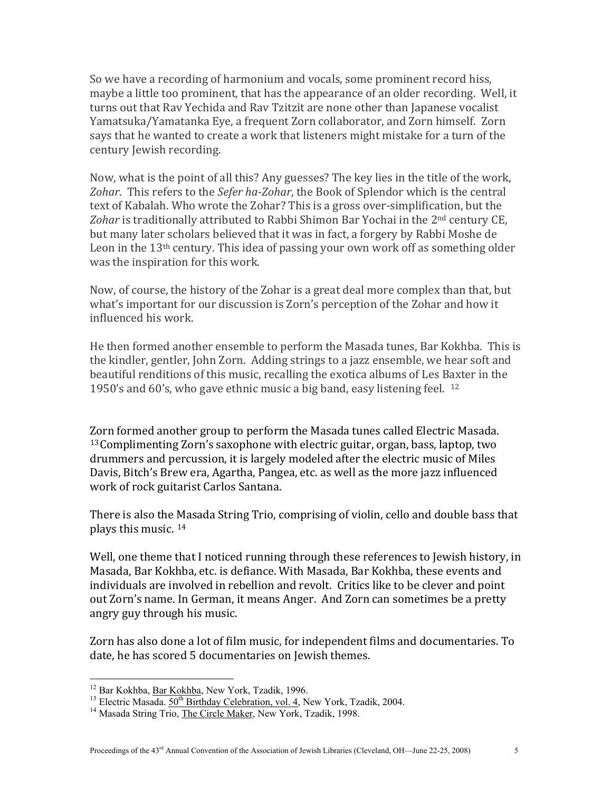So we have a recording of harmonium and vocals, some prominent record hiss, maybe a little too prominent, that has the appearance of an older recording. Well, it turns out that Rav Yechida and Rav Tzitzit are none other than Japanese vocalist Yamatsuka/Yamatanka Eye, a frequent Zorn collaborator, and Zorn himself. Zorn says that he wanted to create a work that listeners might mistake for a turn of the century Jewish recording.

Now, what is the point of all this? Any guesses? The key lies in the title of the work, *Zohar*. This refers to the *Sefer haZohar*, the Book of Splendor which is the central text of Kabalah. Who wrote the Zohar? This is a gross over‐simplification, but the *Zohar* is traditionally attributed to Rabbi Shimon Bar Yochai in the 2nd century CE, but many later scholars believed that it was in fact, a forgery by Rabbi Moshe de Leon in the  $13<sup>th</sup>$  century. This idea of passing your own work off as something older was the inspiration for this work.

Now, of course, the history of the Zohar is a great deal more complex than that, but what's important for our discussion is Zorn's perception of the Zohar and how it influenced his work.

He then formed another ensemble to perform the Masada tunes, Bar Kokhba. This is the kindler, gentler, John Zorn. Adding strings to a jazz ensemble, we he[a](#page-4-0)r soft and beautiful renditions of this music, recalling the exotica albums of Les B[ax](#page-4-0)ter in the 1950's and 60's, who gave ethnic music a big band, easy listening feel. <sup>12</sup>

[Zo](#page-4-1)rn formed another group to perform the Masada tunes called Electric Masada. 13Complimenting Zorn's saxophone with electric guitar, organ, bass, laptop, two drummers and percussion, it is largely modeled after the electric music of Miles Davis, Bitch's Brew era, Agartha, Pangea, etc. as well as the more jazz influenced work of rock guitarist Carlos Santana.

There is also the Masada String Trio, comprising of violin, cello and double bass that plays this music. 14

Well, one theme that I noticed running through these references to Jewish history, in Masada, Bar Kokhba, etc. is defiance. With Masada, Bar Kokhba, these events and individuals are involved in rebellion and revolt. Critics like to be clever and point out Zorn's name. In German, it means Anger. And Zorn can sometimes be a pretty angry guy through his music.

Zorn has also done a lot of film music, for independent films and documentaries. To date, he has scored 5 documentaries on Jewish themes.

<span id="page-4-1"></span><span id="page-4-0"></span><sup>&</sup>lt;sup>12</sup> Bar Kokhba, <u>Bar Kokhba</u>, New York, Tzadik, 1996.<br><sup>13</sup> Electric Masada.  $50^{th}$  Birthday Celebration, vol. 4, New York, Tzadik, 2004.<br><sup>14</sup> Masada String Trio, <u>The Circle Maker</u>, New York, Tzadik, 1998.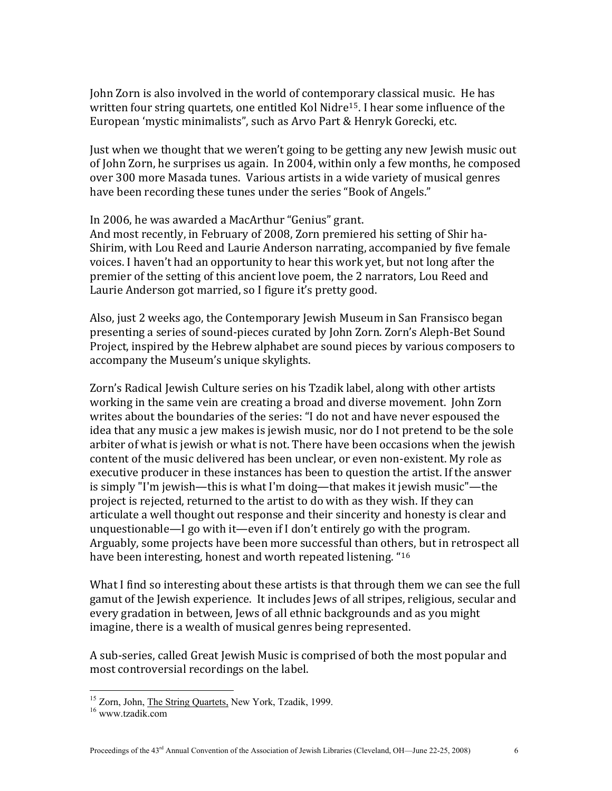John Zorn is also involved in the world of contemporary classical music. He has written four string quartets, one entitled Kol Nidre<sup>[15](#page-5-0)</sup>. I hear some influence of the European 'mystic minimalists", such as Arvo Part & Henryk Gorecki, etc.

Just when we thought that we weren't going to be getting any new Jewish music out of John Zorn, he surprises us again. In 2004, within only a few months, he composed over 300 more Masada tunes. Various artists in a wide variety of musical genres have been recording these tunes under the series "Book of Angels."

## In 2006, he was awarded a MacArthur "Genius" grant.

And most recently, in February of 2008, Zorn premiered his setting of Shir ha‐ Shirim, with Lou Reed and Laurie Anderson narrating, accompanied by five female voices. I haven't had an opportunity to hear this work yet, but not long after the premier of the setting of this ancient love poem, the 2 narrators, Lou Reed and Laurie Anderson got married, so I figure it's pretty good.

Also, just 2 weeks ago, the Contemporary Jewish Museum in San Fransisco began presenting a series of sound‐pieces curated by John Zorn. Zorn's Aleph‐Bet Sound Project, inspired by the Hebrew alphabet are sound pieces by various composers to accompany the Museum's unique skylights.

Zorn's Radical Jewish Culture series on his Tzadik label, along with other artists working in the same vein are creating a broad and diverse movement. John Zorn writes about the boundaries of the series: "I do not and have never espoused the idea that any music a jew makes is jewish music, nor do I not pretend to be the sole arbiter of what is jewish or what is not. There have been occasions when the jewish content of the music delivered has been unclear, or even non‐existent. My role as executive producer in these instances has been to question the artist. If the answer is simply "I'm jewish—this is what I'm doing—that makes it jewish music"—the project is rejected, returned to the artist to do with as they wish. If they can articulate a well thought out response and their sincerity and honesty is clear and unquestionable—I go with it—even if I don't entirely go with the program. Arguably, some projects have been more successful than others, but in retrospect all have been interesting, honest and worth repeated listening. "16

What I find so interesting about these artists is that through them we can see the full gamut of the Jewish experience. It includes Jews of all stripes, religious, secular and every gradation in between, Jews of all ethnic backgrounds and as you might imagine, there is a wealth of musical genres being represented.

A sub‐series, called Great Jewish Music is comprised of both the most popular and most controversial recordings on the label.

1

<span id="page-5-0"></span><sup>&</sup>lt;sup>15</sup> Zorn, John, <u>The String Quartets,</u> New York, Tzadik, 1999.<br><sup>16</sup> www.tzadik.com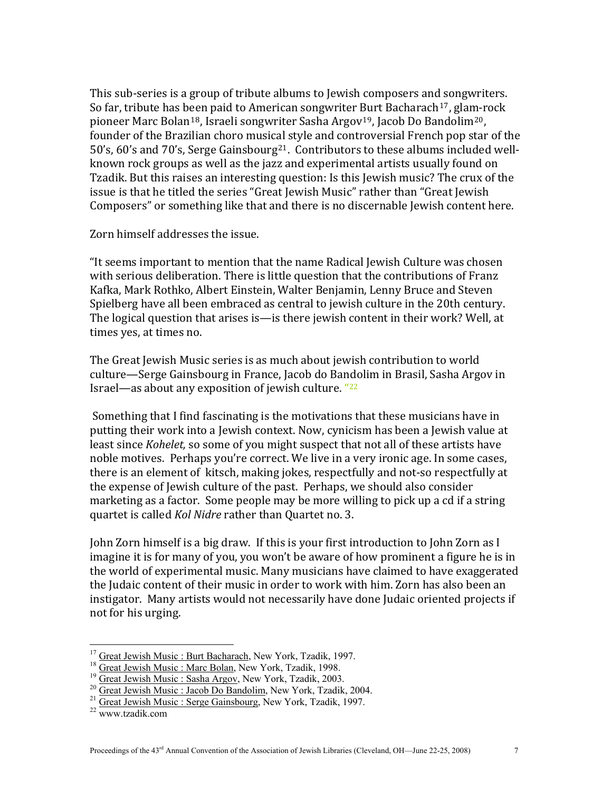This sub-series is a group of tribute albums to Jewish composers and songwriters. So far, tribute has b[ee](#page-6-1)n paid to American songwriter [Bu](#page-6-2)rt Bacharach<sup>[17](#page-6-0)</sup>, glam-rock pioneer Marc Bolan<sup>18</sup>, Israeli songwriter Sasha Argov<sup>19</sup>, Jacob Do Bandolim<sup>20</sup>, founder of the Brazilian choro music[al](#page-6-4) style and controversial French pop star of the 50's, 60's and 70's, Serge Gainsbourg<sup>21</sup>. Contributors to these albums included wellknown rock groups as well as the jazz and experimental artists usually found on Tzadik. But this raises an interesting question: Is this Jewish music? The crux of the issue is that he titled the series "Great Jewish Music" rather than "Great Jewish Composers" or something like that and there is no discernable Jewish content here.

Zorn himself addresses the issue.

"It seems important to mention that the name Radical Jewish Culture was chosen with serious deliberation. There is little question that the contributions of Franz Kafka, Mark Rothko, Albert Einstein, Walter Benjamin, Lenny Bruce and Steven Spielberg have all been embraced as central to jewish culture in the 20th century. The logical question that arises is—is there jewish content in their work? Well, at times yes, at times no.

The Great Jewish Music series is as much about jewish contribution to world culture—Serge Gainsbourg in France, Jacob do Bandolim in Brasil, Sasha Argov in Israel—as about any exposition of jewish culture. "22

 Something that I find fascinating is the motivations that these musicians have in putting their work into a Jewish context. Now, cynicism has been a Jewish value at least since *Kohelet,* so some of you might suspect that not all of these artists have noble motives. Perhaps you're correct. We live in a very ironic age. In some cases, there is an element of kitsch, making jokes, respectfully and not‐so respectfully at the expense of Jewish culture of the past. Perhaps, we should also consider marketing as a factor. Some people may be more willing to pick up a cd if a string quartet is called *Kol Nidre* rather than Quartet no. 3.

John Zorn himself is a big draw. If this is your first introduction to John Zorn as I imagine it is for many of you, you won't be aware of how prominent a figure he is in the world of experimental music. Many musicians have claimed to have exaggerated the Judaic content of their music in order to work with him. Zorn has also been an nstigator. Many artists would not necessarily have done Judaic oriented projects if i not for his urging.

<span id="page-6-2"></span>

<span id="page-6-1"></span><span id="page-6-0"></span><sup>&</sup>lt;sup>17</sup> Great Jewish Music : Burt Bacharach, New York, Tzadik, 1997.<br><sup>18</sup> Great Jewish Music : Marc Bolan, New York, Tzadik, 1998.<br><sup>19</sup> Great Jewish Music : Sasha Argov, New York, Tzadik, 2003.<br><sup>20</sup> Great Jewish Music : Jaco

<span id="page-6-3"></span>

<span id="page-6-4"></span>